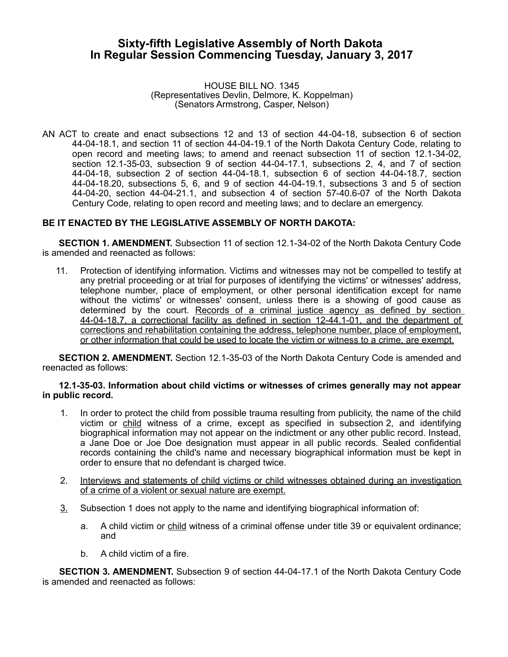# **Sixty-fifth Legislative Assembly of North Dakota In Regular Session Commencing Tuesday, January 3, 2017**

HOUSE BILL NO. 1345 (Representatives Devlin, Delmore, K. Koppelman) (Senators Armstrong, Casper, Nelson)

AN ACT to create and enact subsections 12 and 13 of section 44-04-18, subsection 6 of section 44-04-18.1, and section 11 of section 44-04-19.1 of the North Dakota Century Code, relating to open record and meeting laws; to amend and reenact subsection 11 of section 12.1-34-02, section 12.1-35-03, subsection 9 of section 44-04-17.1, subsections 2, 4, and 7 of section 44-04-18, subsection 2 of section 44-04-18.1, subsection 6 of section 44-04-18.7, section 44-04-18.20, subsections 5, 6, and 9 of section 44-04-19.1, subsections 3 and 5 of section 44-04-20, section 44-04-21.1, and subsection 4 of section 57-40.6-07 of the North Dakota Century Code, relating to open record and meeting laws; and to declare an emergency.

## **BE IT ENACTED BY THE LEGISLATIVE ASSEMBLY OF NORTH DAKOTA:**

**SECTION 1. AMENDMENT.** Subsection 11 of section 12.1-34-02 of the North Dakota Century Code is amended and reenacted as follows:

11. Protection of identifying information. Victims and witnesses may not be compelled to testify at any pretrial proceeding or at trial for purposes of identifying the victims' or witnesses' address, telephone number, place of employment, or other personal identification except for name without the victims' or witnesses' consent, unless there is a showing of good cause as determined by the court. Records of a criminal justice agency as defined by section 44-04-18.7, a correctional facility as defined in section 12-44.1-01, and the department of corrections and rehabilitation containing the address, telephone number, place of employment, or other information that could be used to locate the victim or witness to a crime, are exempt.

**SECTION 2. AMENDMENT.** Section 12.1-35-03 of the North Dakota Century Code is amended and reenacted as follows:

### **12.1-35-03. Information about child victims or witnesses of crimes generally may not appear in public record.**

- 1. In order to protect the child from possible trauma resulting from publicity, the name of the child victim or child witness of a crime, except as specified in subsection 2, and identifying biographical information may not appear on the indictment or any other public record. Instead, a Jane Doe or Joe Doe designation must appear in all public records. Sealed confidential records containing the child's name and necessary biographical information must be kept in order to ensure that no defendant is charged twice.
- 2. Interviews and statements of child victims or child witnesses obtained during an investigation of a crime of a violent or sexual nature are exempt.
- 3. Subsection 1 does not apply to the name and identifying biographical information of:
	- a. A child victim or child witness of a criminal offense under title 39 or equivalent ordinance; and
	- b. A child victim of a fire.

**SECTION 3. AMENDMENT.** Subsection 9 of section 44-04-17.1 of the North Dakota Century Code is amended and reenacted as follows: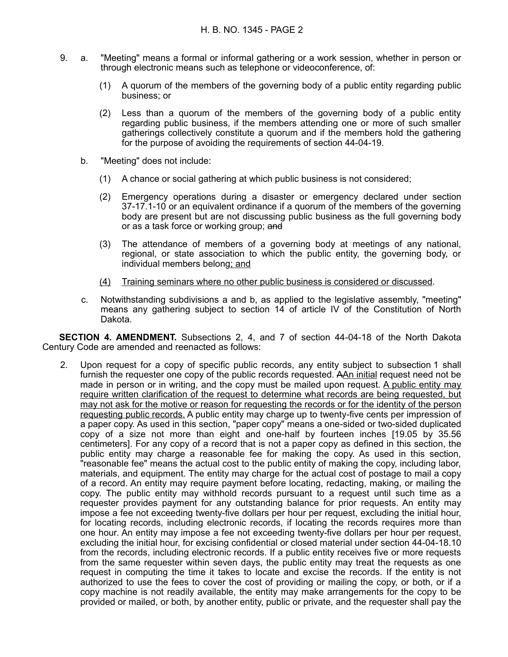- 9. a. "Meeting" means a formal or informal gathering or a work session, whether in person or through electronic means such as telephone or videoconference, of:
	- (1) A quorum of the members of the governing body of a public entity regarding public business; or
	- (2) Less than a quorum of the members of the governing body of a public entity regarding public business, if the members attending one or more of such smaller gatherings collectively constitute a quorum and if the members hold the gathering for the purpose of avoiding the requirements of section 44-04-19.
	- b. "Meeting" does not include:
		- (1) A chance or social gathering at which public business is not considered;
		- (2) Emergency operations during a disaster or emergency declared under section 37-17.1-10 or an equivalent ordinance if a quorum of the members of the governing body are present but are not discussing public business as the full governing body or as a task force or working group; and
		- (3) The attendance of members of a governing body at meetings of any national, regional, or state association to which the public entity, the governing body, or individual members belong; and
		- (4) Training seminars where no other public business is considered or discussed.
	- c. Notwithstanding subdivisions a and b, as applied to the legislative assembly, "meeting" means any gathering subject to section 14 of article IV of the Constitution of North Dakota.

**SECTION 4. AMENDMENT.** Subsections 2, 4, and 7 of section 44-04-18 of the North Dakota Century Code are amended and reenacted as follows:

2. Upon request for a copy of specific public records, any entity subject to subsection 1 shall furnish the requester one copy of the public records requested. AAn initial request need not be made in person or in writing, and the copy must be mailed upon request. A public entity may require written clarification of the request to determine what records are being requested, but may not ask for the motive or reason for requesting the records or for the identity of the person requesting public records. A public entity may charge up to twenty-five cents per impression of a paper copy. As used in this section, "paper copy" means a one-sided or two-sided duplicated copy of a size not more than eight and one-half by fourteen inches [19.05 by 35.56 centimeters]. For any copy of a record that is not a paper copy as defined in this section, the public entity may charge a reasonable fee for making the copy. As used in this section, "reasonable fee" means the actual cost to the public entity of making the copy, including labor, materials, and equipment. The entity may charge for the actual cost of postage to mail a copy of a record. An entity may require payment before locating, redacting, making, or mailing the copy. The public entity may withhold records pursuant to a request until such time as a requester provides payment for any outstanding balance for prior requests. An entity may impose a fee not exceeding twenty-five dollars per hour per request, excluding the initial hour, for locating records, including electronic records, if locating the records requires more than one hour. An entity may impose a fee not exceeding twenty-five dollars per hour per request, excluding the initial hour, for excising confidential or closed material under section 44-04-18.10 from the records, including electronic records. If a public entity receives five or more requests from the same requester within seven days, the public entity may treat the requests as one request in computing the time it takes to locate and excise the records. If the entity is not authorized to use the fees to cover the cost of providing or mailing the copy, or both, or if a copy machine is not readily available, the entity may make arrangements for the copy to be provided or mailed, or both, by another entity, public or private, and the requester shall pay the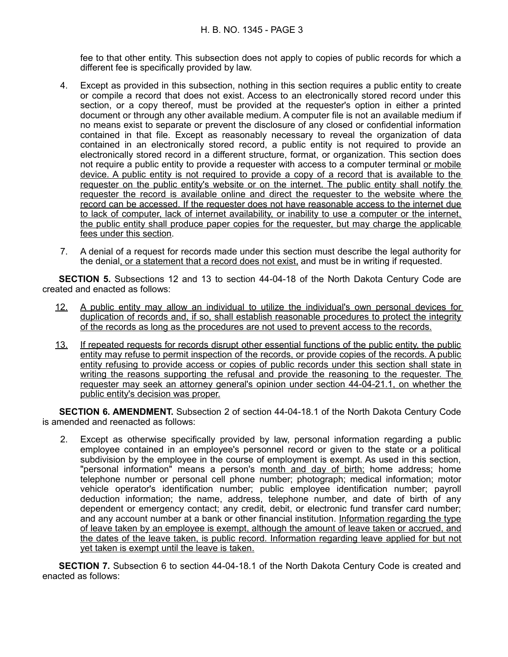fee to that other entity. This subsection does not apply to copies of public records for which a different fee is specifically provided by law.

- 4. Except as provided in this subsection, nothing in this section requires a public entity to create or compile a record that does not exist. Access to an electronically stored record under this section, or a copy thereof, must be provided at the requester's option in either a printed document or through any other available medium. A computer file is not an available medium if no means exist to separate or prevent the disclosure of any closed or confidential information contained in that file. Except as reasonably necessary to reveal the organization of data contained in an electronically stored record, a public entity is not required to provide an electronically stored record in a different structure, format, or organization. This section does not require a public entity to provide a requester with access to a computer terminal or mobile device. A public entity is not required to provide a copy of a record that is available to the requester on the public entity's website or on the internet . The public entity shall notify the requester the record is available online and direct the requester to the website where the record can be accessed. If the requester does not have reasonable access to the internet due to lack of computer, lack of internet availability, or inability to use a computer or the internet, the public entity shall produce paper copies for the requester, but may charge the applicable fees under this section.
- 7. A denial of a request for records made under this section must describe the legal authority for the denial, or a statement that a record does not exist, and must be in writing if requested.

**SECTION 5.** Subsections 12 and 13 to section 44-04-18 of the North Dakota Century Code are created and enacted as follows:

- 12. A public entity may allow an individual to utilize the individual's own personal devices for duplication of records and, if so, shall establish reasonable procedures to protect the integrity of the records as long as the procedures are not used to prevent access to the records.
- 13. If repeated requests for records disrupt other essential functions of the public entity, the public entity may refuse to permit inspection of the records, or provide copies of the records. A public entity refusing to provide access or copies of public records under this section shall state in writing the reasons supporting the refusal and provide the reasoning to the requester. The requester may seek an attorney general's opinion under section 44-04-21.1, on whether the public entity's decision was proper.

**SECTION 6. AMENDMENT.** Subsection 2 of section 44-04-18.1 of the North Dakota Century Code is amended and reenacted as follows:

2. Except as otherwise specifically provided by law, personal information regarding a public employee contained in an employee's personnel record or given to the state or a political subdivision by the employee in the course of employment is exempt. As used in this section, "personal information" means a person's month and day of birth; home address; home telephone number or personal cell phone number; photograph; medical information; motor vehicle operator's identification number; public employee identification number; payroll deduction information; the name, address, telephone number, and date of birth of any dependent or emergency contact; any credit, debit, or electronic fund transfer card number; and any account number at a bank or other financial institution. Information regarding the type of leave taken by an employee is exempt, although the amount of leave taken or accrued, and the dates of the leave taken, is public record. Information regarding leave applied for but not yet taken is exempt until the leave is taken.

**SECTION 7.** Subsection 6 to section 44-04-18.1 of the North Dakota Century Code is created and enacted as follows: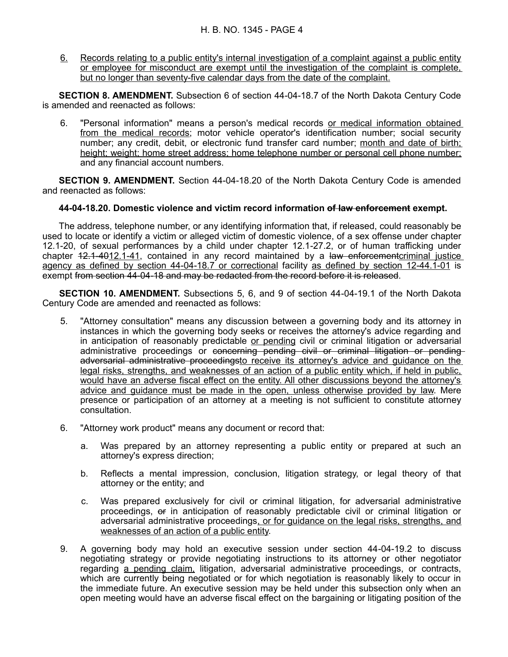6. Records relating to a public entity's internal investigation of a complaint against a public entity or employee for misconduct are exempt until the investigation of the complaint is complete, but no longer than seventy-five calendar days from the date of the complaint.

**SECTION 8. AMENDMENT.** Subsection 6 of section 44-04-18.7 of the North Dakota Century Code is amended and reenacted as follows:

6. "Personal information" means a person's medical records or medical information obtained from the medical records; motor vehicle operator's identification number; social security number; any credit, debit, or electronic fund transfer card number; month and date of birth; height; weight; home street address; home telephone number or personal cell phone number; and any financial account numbers.

**SECTION 9. AMENDMENT.** Section 44-04-18.20 of the North Dakota Century Code is amended and reenacted as follows:

### **44-04-18.20. Domestic violence and victim record information of law enforcement exempt.**

The address, telephone number, or any identifying information that, if released, could reasonably be used to locate or identify a victim or alleged victim of domestic violence, of a sex offense under chapter 12.1-20, of sexual performances by a child under chapter 12.1-27.2, or of human trafficking under chapter 12.1-4012.1-41, contained in any record maintained by a law enforcement criminal justice agency as defined by section 44-04-18.7 or correctional facility as defined by section 12-44.1-01 is exempt from section 44-04-18 and may be redacted from the record before it is released.

**SECTION 10. AMENDMENT.** Subsections 5, 6, and 9 of section 44-04-19.1 of the North Dakota Century Code are amended and reenacted as follows:

- 5. "Attorney consultation" means any discussion between a governing body and its attorney in instances in which the governing body seeks or receives the attorney's advice regarding and in anticipation of reasonably predictable or pending civil or criminal litigation or adversarial administrative proceedings or concerning pending civil or criminal litigation or pending adversarial administrative proceedingsto receive its attorney's advice and guidance on the legal risks, strengths, and weaknesses of an action of a public entity which, if held in public, would have an adverse fiscal effect on the entity. All other discussions beyond the attorney's advice and guidance must be made in the open, unless otherwise provided by law. Mere presence or participation of an attorney at a meeting is not sufficient to constitute attorney consultation.
- 6. "Attorney work product" means any document or record that:
	- a. Was prepared by an attorney representing a public entity or prepared at such an attorney's express direction;
	- b. Reflects a mental impression, conclusion, litigation strategy, or legal theory of that attorney or the entity; and
	- c. Was prepared exclusively for civil or criminal litigation, for adversarial administrative proceedings, or in anticipation of reasonably predictable civil or criminal litigation or adversarial administrative proceedings, or for guidance on the legal risks, strengths, and weaknesses of an action of a public entity.
- 9. A governing body may hold an executive session under section 44-04-19.2 to discuss negotiating strategy or provide negotiating instructions to its attorney or other negotiator regarding a pending claim, litigation, adversarial administrative proceedings, or contracts, which are currently being negotiated or for which negotiation is reasonably likely to occur in the immediate future. An executive session may be held under this subsection only when an open meeting would have an adverse fiscal effect on the bargaining or litigating position of the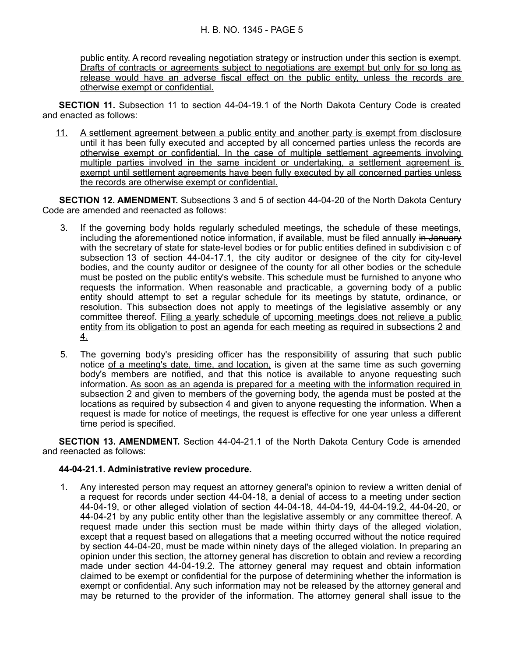public entity. A record revealing negotiation strategy or instruction under this section is exempt. Drafts of contracts or agreements subject to negotiations are exempt but only for so long as release would have an adverse fiscal effect on the public entity, unless the records are otherwise exempt or confidential.

**SECTION 11.** Subsection 11 to section 44-04-19.1 of the North Dakota Century Code is created and enacted as follows:

11. A settlement agreement between a public entity and another party is exempt from disclosure until it has been fully executed and accepted by all concerned parties unless the records are otherwise exempt or confidential. In the case of multiple settlement agreements involving multiple parties involved in the same incident or undertaking, a settlement agreement is exempt until settlement agreements have been fully executed by all concerned parties unless the records are otherwise exempt or confidential.

**SECTION 12. AMENDMENT.** Subsections 3 and 5 of section 44-04-20 of the North Dakota Century Code are amended and reenacted as follows:

- 3. If the governing body holds regularly scheduled meetings, the schedule of these meetings, including the aforementioned notice information, if available, must be filed annually in January with the secretary of state for state-level bodies or for public entities defined in subdivision c of subsection 13 of section 44-04-17.1, the city auditor or designee of the city for city-level bodies, and the county auditor or designee of the county for all other bodies or the schedule must be posted on the public entity's website. This schedule must be furnished to anyone who requests the information. When reasonable and practicable, a governing body of a public entity should attempt to set a regular schedule for its meetings by statute, ordinance, or resolution. This subsection does not apply to meetings of the legislative assembly or any committee thereof. Filing a yearly schedule of upcoming meetings does not relieve a public entity from its obligation to post an agenda for each meeting as required in subsections 2 and 4.
- 5. The governing body's presiding officer has the responsibility of assuring that such public notice of a meeting's date, time, and location, is given at the same time as such governing body's members are notified, and that this notice is available to anyone requesting such information. As soon as an agenda is prepared for a meeting with the information required in subsection 2 and given to members of the governing body, the agenda must be posted at the locations as required by subsection 4 and given to anyone requesting the information. When a request is made for notice of meetings, the request is effective for one year unless a different time period is specified.

**SECTION 13. AMENDMENT.** Section 44-04-21.1 of the North Dakota Century Code is amended and reenacted as follows:

### **44-04-21.1. Administrative review procedure.**

1. Any interested person may request an attorney general's opinion to review a written denial of a request for records under section 44-04-18, a denial of access to a meeting under section 44-04-19, or other alleged violation of section 44-04-18, 44-04-19, 44-04-19.2, 44-04-20, or 44-04-21 by any public entity other than the legislative assembly or any committee thereof. A request made under this section must be made within thirty days of the alleged violation, except that a request based on allegations that a meeting occurred without the notice required by section 44-04-20, must be made within ninety days of the alleged violation. In preparing an opinion under this section, the attorney general has discretion to obtain and review a recording made under section 44-04-19.2. The attorney general may request and obtain information claimed to be exempt or confidential for the purpose of determining whether the information is exempt or confidential. Any such information may not be released by the attorney general and may be returned to the provider of the information. The attorney general shall issue to the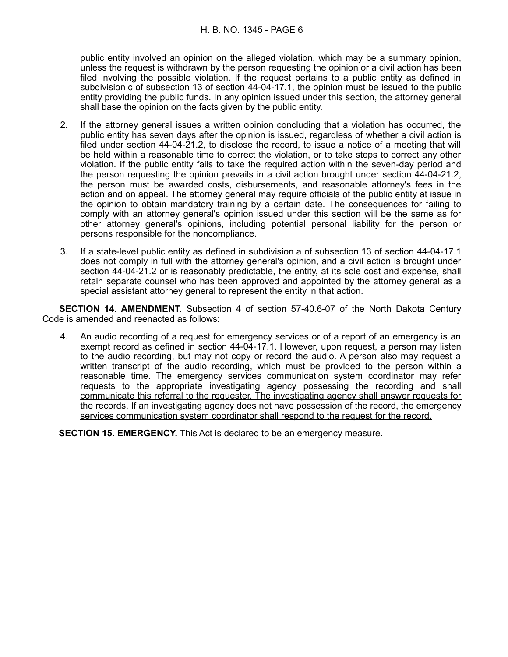public entity involved an opinion on the alleged violation, which may be a summary opinion, unless the request is withdrawn by the person requesting the opinion or a civil action has been filed involving the possible violation. If the request pertains to a public entity as defined in subdivision c of subsection 13 of section 44-04-17.1, the opinion must be issued to the public entity providing the public funds. In any opinion issued under this section, the attorney general shall base the opinion on the facts given by the public entity.

- 2. If the attorney general issues a written opinion concluding that a violation has occurred, the public entity has seven days after the opinion is issued, regardless of whether a civil action is filed under section 44-04-21.2, to disclose the record, to issue a notice of a meeting that will be held within a reasonable time to correct the violation, or to take steps to correct any other violation. If the public entity fails to take the required action within the seven-day period and the person requesting the opinion prevails in a civil action brought under section 44-04-21.2, the person must be awarded costs, disbursements, and reasonable attorney's fees in the action and on appeal. The attorney general may require officials of the public entity at issue in the opinion to obtain mandatory training by a certain date. The consequences for failing to comply with an attorney general's opinion issued under this section will be the same as for other attorney general's opinions, including potential personal liability for the person or persons responsible for the noncompliance.
- 3. If a state-level public entity as defined in subdivision a of subsection 13 of section 44-04-17.1 does not comply in full with the attorney general's opinion, and a civil action is brought under section 44-04-21.2 or is reasonably predictable, the entity, at its sole cost and expense, shall retain separate counsel who has been approved and appointed by the attorney general as a special assistant attorney general to represent the entity in that action.

**SECTION 14. AMENDMENT.** Subsection 4 of section 57-40.6-07 of the North Dakota Century Code is amended and reenacted as follows:

4. An audio recording of a request for emergency services or of a report of an emergency is an exempt record as defined in section 44-04-17.1. However, upon request, a person may listen to the audio recording, but may not copy or record the audio. A person also may request a written transcript of the audio recording, which must be provided to the person within a reasonable time. The emergency services communication system coordinator may refer requests to the appropriate investigating agency possessing the recording and shall communicate this referral to the requester. The investigating agency shall answer requests for the records. If an investigating agency does not have possession of the record, the emergency services communication system coordinator shall respond to the request for the record.

**SECTION 15. EMERGENCY.** This Act is declared to be an emergency measure.